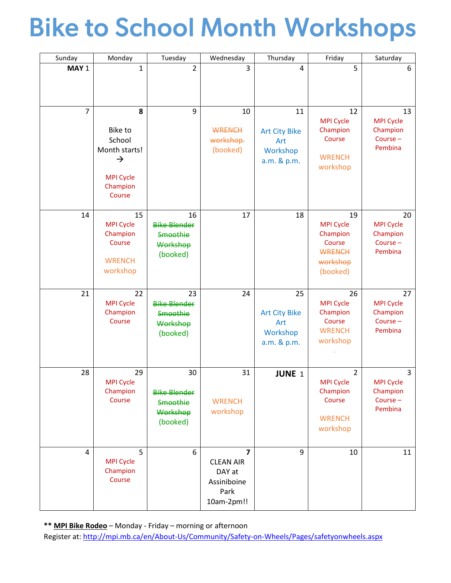# Bike to School Month Workshops

| Sunday | Monday                                                                                                    | Tuesday                                                              | Wednesday                                                            | Thursday                                                     | Friday                                                                                | Saturday                                                 |
|--------|-----------------------------------------------------------------------------------------------------------|----------------------------------------------------------------------|----------------------------------------------------------------------|--------------------------------------------------------------|---------------------------------------------------------------------------------------|----------------------------------------------------------|
| MAY 1  | 1                                                                                                         | $\overline{2}$                                                       | 3                                                                    | $\overline{4}$                                               | 5                                                                                     | 6                                                        |
| 7      | 8<br><b>Bike to</b><br>School<br>Month starts!<br>$\rightarrow$<br><b>MPI Cycle</b><br>Champion<br>Course | 9                                                                    | 10<br><b>WRENCH</b><br>workshop.<br>(booked)                         | 11<br><b>Art City Bike</b><br>Art<br>Workshop<br>a.m. & p.m. | 12<br><b>MPI Cycle</b><br>Champion<br>Course<br><b>WRENCH</b><br>workshop             | 13<br><b>MPI Cycle</b><br>Champion<br>Course-<br>Pembina |
| 14     | 15<br><b>MPI Cycle</b><br>Champion<br>Course<br><b>WRENCH</b><br>workshop                                 | 16<br><b>Bike Blender</b><br>Smoothie<br>Workshop<br>(booked)        | 17                                                                   | 18                                                           | 19<br><b>MPI Cycle</b><br>Champion<br>Course<br><b>WRENCH</b><br>workshop<br>(booked) | 20<br><b>MPI Cycle</b><br>Champion<br>Course-<br>Pembina |
| 21     | 22<br><b>MPI Cycle</b><br>Champion<br>Course                                                              | 23<br><b>Bike Blender</b><br><b>Smoothie</b><br>Workshop<br>(booked) | 24                                                                   | 25<br><b>Art City Bike</b><br>Art<br>Workshop<br>a.m. & p.m. | 26<br><b>MPI Cycle</b><br>Champion<br>Course<br><b>WRENCH</b><br>workshop             | 27<br><b>MPI Cycle</b><br>Champion<br>Course-<br>Pembina |
| 28     | 29<br><b>MPI Cycle</b><br>Champion<br>Course                                                              | 30<br><b>Bike Blender</b><br><b>Smoothie</b><br>Workshop<br>(booked) | 31<br><b>WRENCH</b><br>workshop                                      | JUNE <sub>1</sub>                                            | $\overline{2}$<br><b>MPI Cycle</b><br>Champion<br>Course<br><b>WRENCH</b><br>workshop | 3<br><b>MPI Cycle</b><br>Champion<br>Course-<br>Pembina  |
| 4      | 5<br><b>MPI Cycle</b><br>Champion<br>Course                                                               | 6                                                                    | 7<br><b>CLEAN AIR</b><br>DAY at<br>Assiniboine<br>Park<br>10am-2pm!! | 9                                                            | 10                                                                                    | 11                                                       |

**\*\* MPI Bike Rodeo** – Monday - Friday – morning or afternoon

Register at: <http://mpi.mb.ca/en/About-Us/Community/Safety-on-Wheels/Pages/safetyonwheels.aspx>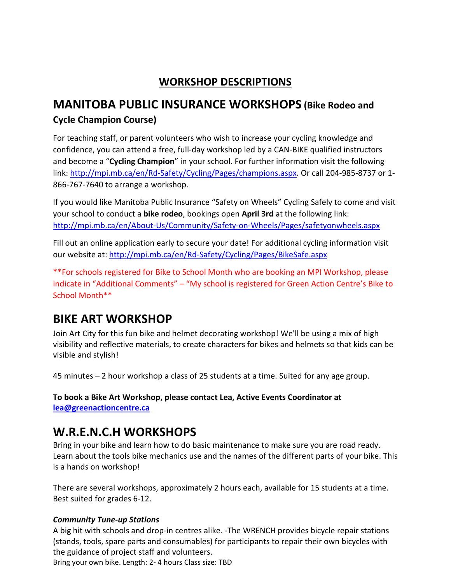## **WORKSHOP DESCRIPTIONS**

# **MANITOBA PUBLIC INSURANCE WORKSHOPS (Bike Rodeo and**

### **Cycle Champion Course)**

For teaching staff, or parent volunteers who wish to increase your cycling knowledge and confidence, you can attend a free, full-day workshop led by a CAN-BIKE qualified instructors and become a "**Cycling Champion**" in your school. For further information visit the following link: [http://mpi.mb.ca/en/Rd-Safety/Cycling/Pages/champions.aspx.](http://mpi.mb.ca/en/Rd-Safety/Cycling/Pages/champions.aspx) Or call 204-985-8737 or 1-866-767-7640 to arrange a workshop.

If you would like Manitoba Public Insurance "Safety on Wheels" Cycling Safely to come and visit your school to conduct a **bike rodeo**, bookings open **April 3rd** at the following link: <http://mpi.mb.ca/en/About-Us/Community/Safety-on-Wheels/Pages/safetyonwheels.aspx>

Fill out an online application early to secure your date! For additional cycling information visit our website at:<http://mpi.mb.ca/en/Rd-Safety/Cycling/Pages/BikeSafe.aspx>

\*\*For schools registered for Bike to School Month who are booking an MPI Workshop, please indicate in "Additional Comments" – "My school is registered for Green Action Centre's Bike to School Month\*\*

# **BIKE ART WORKSHOP**

Join Art City for this fun bike and helmet decorating workshop! We'll be using a mix of high visibility and reflective materials, to create characters for bikes and helmets so that kids can be visible and stylish!

45 minutes – 2 hour workshop a class of 25 students at a time. Suited for any age group.

**To book a Bike Art Workshop, please contact Lea, Active Events Coordinator at [lea@greenactioncentre.ca](mailto:lea@greenactioncentre.ca)**

## **W.R.E.N.C.H WORKSHOPS**

Bring in your bike and learn how to do basic maintenance to make sure you are road ready. Learn about the tools bike mechanics use and the names of the different parts of your bike. This is a hands on workshop!

There are several workshops, approximately 2 hours each, available for 15 students at a time. Best suited for grades 6-12.

#### *Community Tune-up Stations*

A big hit with schools and drop-in centres alike. -The WRENCH provides bicycle repair stations (stands, tools, spare parts and consumables) for participants to repair their own bicycles with the guidance of project staff and volunteers.

Bring your own bike. Length: 2- 4 hours Class size: TBD